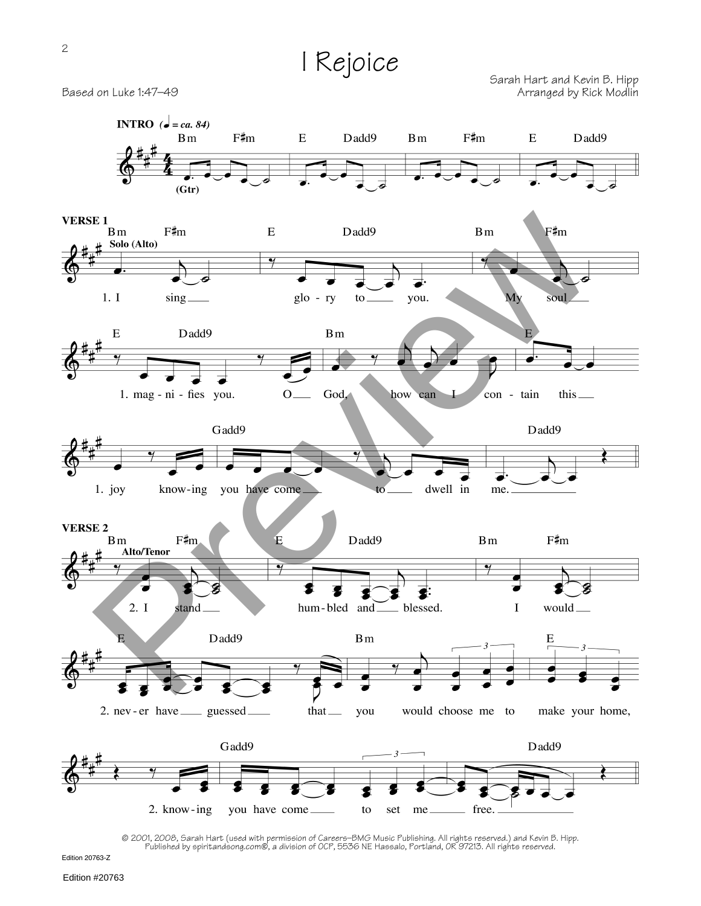## I Rejoice

Sarah Hart and Kevin B. Hipp Based on Luke 1:47–49 **Based on Luke 1:47–49** Arranged by Rick Modlin



@ 2001, 2008, Sarah Hart (used with permission of Careers–BMG Music Publishing. All rights reserved.) and Kevin B. Hipp.<br>Published by spiritandsong.com@, a division of OCP, 5536 NE Hassalo, Portland, OR 97213. All rights r

Edition 20763-Z

Edition #20763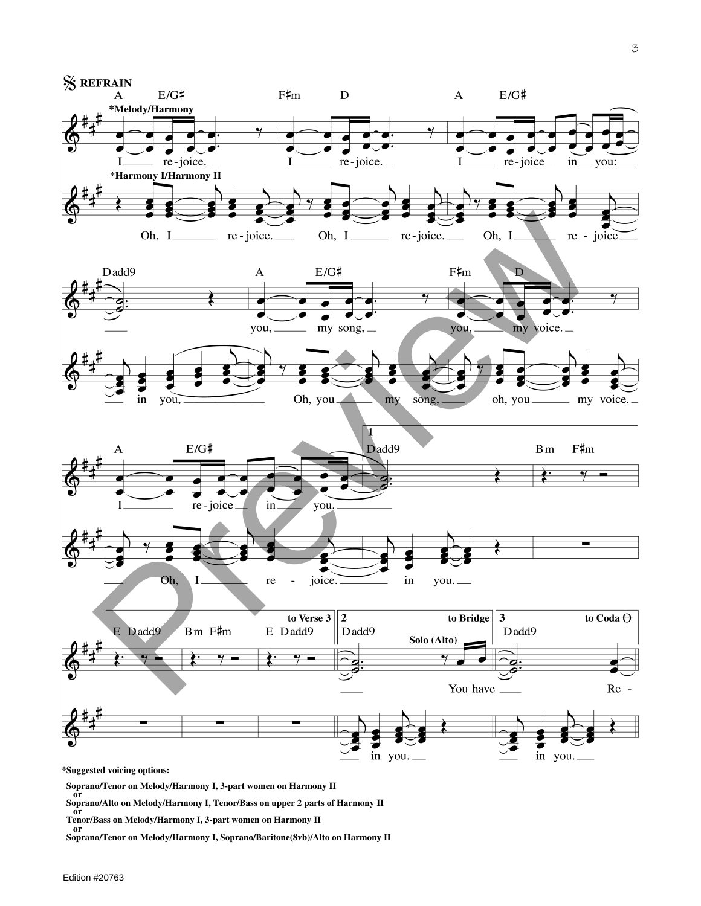

Soprano/Tenor on Melody/Harmony I, 3-part women on Harmony II<br>or<br>Soprano/Alto on Melody/Harmony I, Tenor/Bass on upper 2 parts of Harmony II<br>Tenor/Bass on Melody/Harmony I, 3-part women on Harmony II<br>or<br>Soprano/Tenor on Me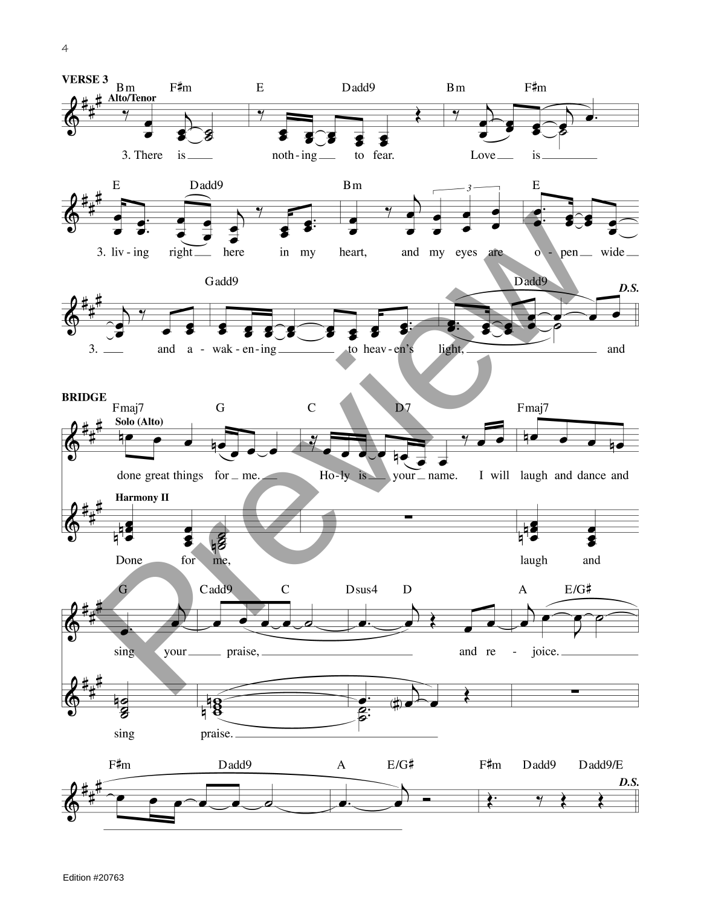4

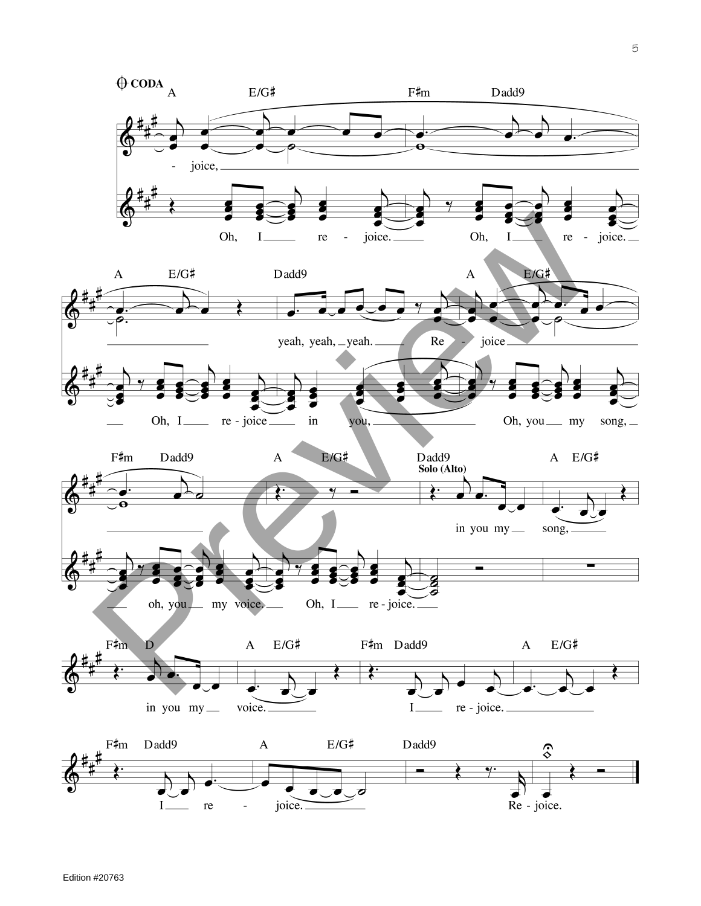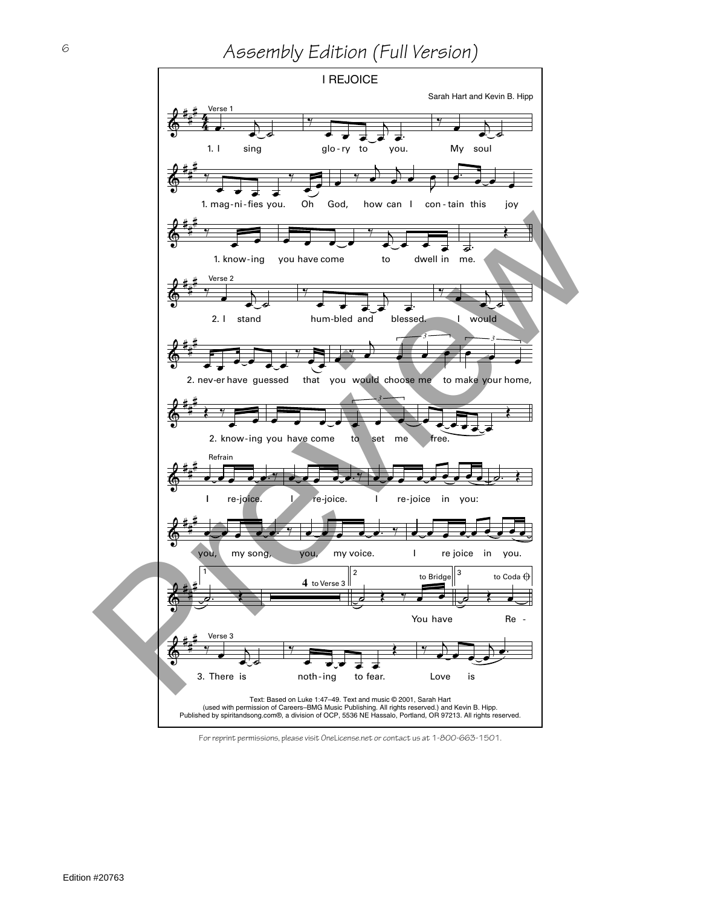## *Assembly Edition (Full Version)*



For reprint permissions, please visit OneLicense.net or contact us at 1-800-663-1501.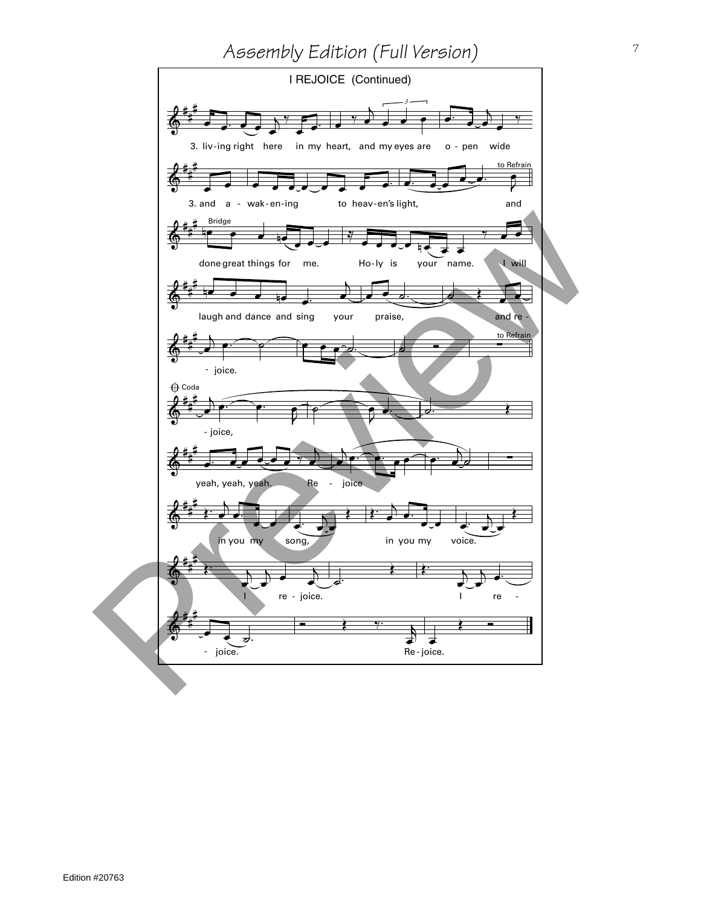## *Assembly Edition (Full Version)*